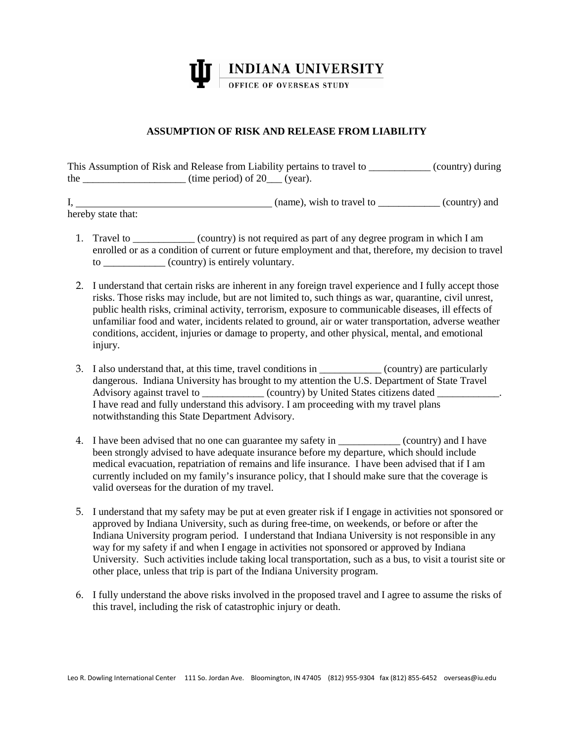

## **ASSUMPTION OF RISK AND RELEASE FROM LIABILITY**

| This Assumption of Risk and Release from Liability pertains to travel to |                               | (country) during |
|--------------------------------------------------------------------------|-------------------------------|------------------|
| the                                                                      | (time period) of $20$ (year). |                  |

I, (name), wish to travel to \_\_\_\_\_\_\_\_\_\_\_\_ (country) and hereby state that:

- 1. Travel to \_\_\_\_\_\_\_\_\_\_\_\_ (country) is not required as part of any degree program in which I am enrolled or as a condition of current or future employment and that, therefore, my decision to travel to  $( country)$  is entirely voluntary.
- 2. I understand that certain risks are inherent in any foreign travel experience and I fully accept those risks. Those risks may include, but are not limited to, such things as war, quarantine, civil unrest, public health risks, criminal activity, terrorism, exposure to communicable diseases, ill effects of unfamiliar food and water, incidents related to ground, air or water transportation, adverse weather conditions, accident, injuries or damage to property, and other physical, mental, and emotional injury.
- 3. I also understand that, at this time, travel conditions in \_\_\_\_\_\_\_\_\_\_\_\_ (country) are particularly dangerous. Indiana University has brought to my attention the U.S. Department of State Travel Advisory against travel to \_\_\_\_\_\_\_\_\_\_\_\_\_ (country) by United States citizens dated \_\_\_\_\_\_\_\_\_\_ I have read and fully understand this advisory. I am proceeding with my travel plans notwithstanding this State Department Advisory.
- 4. I have been advised that no one can guarantee my safety in \_\_\_\_\_\_\_\_\_\_\_\_ (country) and I have been strongly advised to have adequate insurance before my departure, which should include medical evacuation, repatriation of remains and life insurance. I have been advised that if I am currently included on my family's insurance policy, that I should make sure that the coverage is valid overseas for the duration of my travel.
- 5. I understand that my safety may be put at even greater risk if I engage in activities not sponsored or approved by Indiana University, such as during free-time, on weekends, or before or after the Indiana University program period. I understand that Indiana University is not responsible in any way for my safety if and when I engage in activities not sponsored or approved by Indiana University. Such activities include taking local transportation, such as a bus, to visit a tourist site or other place, unless that trip is part of the Indiana University program.
- 6. I fully understand the above risks involved in the proposed travel and I agree to assume the risks of this travel, including the risk of catastrophic injury or death.